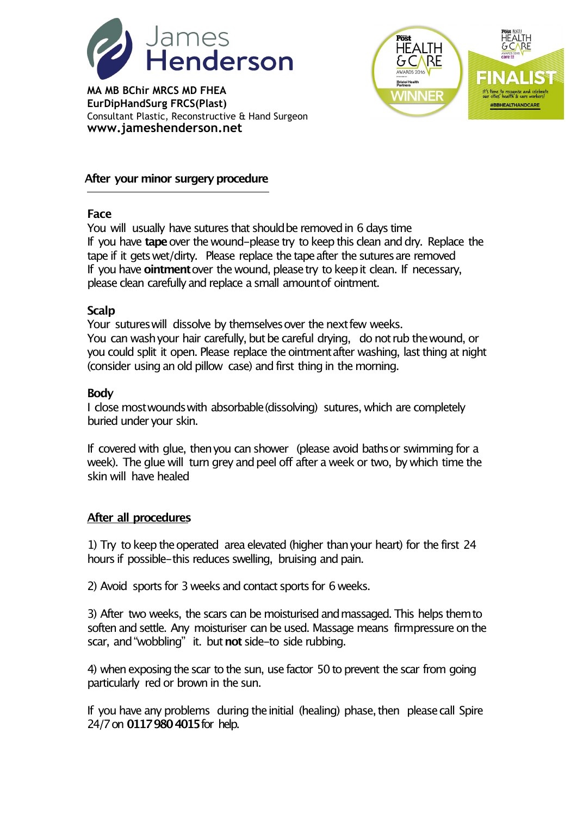

**MA MB BChir MRCS MD FHEA EurDipHandSurg FRCS(Plast)** Consultant Plastic, Reconstructive & Hand Surgeon **www.jameshenderson.net**



# **After** your minor surgery procedure

### **Face**

You will usually have sutures that should be removed in 6 days time If you have **tape**over the wound-please try to keepthis clean anddry. Replace the tape if it gets wet/dirty. Please replace the tape after the sutures are removed If you have **ointment**over the wound, pleasetry to keepit clean. If necessary, please clean carefully and replace a small amount of ointment.

### **Scalp**

Your sutures will dissolve by themselves over the next few weeks. You can wash your hair carefully, but be careful drying, do not rub the wound, or you could split it open. Please replace the ointment after washing, last thing at night (consider using an old pillow case) and first thing in the morning.

### **Body**

I close mostwoundswith absorbable(dissolving) sutures, which are completely buried under your skin.

If covered with glue, thenyou can shower (please avoid bathsor swimming for a week). The glue will turn grey and peel off after a week or two, by which time the skin will have healed

## **After all procedures**

1) Try to keep the operated area elevated (higher than your heart) for the first 24 hours if possible-this reduces swelling, bruising and pain.

2) Avoid sports for 3 weeks and contact sports for 6 weeks.

3) After two weeks, the scars can be moisturised andmassaged. This helps themto soften and settle. Any moisturiser can be used. Massage means firmpressure on the scar, and"wobbling" it. but**not** side-to side rubbing.

4) when exposing the scar to the sun, use factor 50 to prevent the scar from going particularly red or brown in the sun.

If you have any problems during the initial (healing) phase, then please call Spire 24/7on **01179804015**for help.